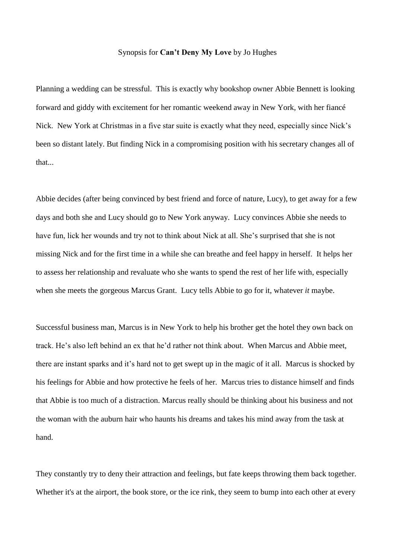## Synopsis for **Can't Deny My Love** by Jo Hughes

Planning a wedding can be stressful. This is exactly why bookshop owner Abbie Bennett is looking forward and giddy with excitement for her romantic weekend away in New York, with her fiancé Nick. New York at Christmas in a five star suite is exactly what they need, especially since Nick's been so distant lately. But finding Nick in a compromising position with his secretary changes all of that...

Abbie decides (after being convinced by best friend and force of nature, Lucy), to get away for a few days and both she and Lucy should go to New York anyway. Lucy convinces Abbie she needs to have fun, lick her wounds and try not to think about Nick at all. She's surprised that she is not missing Nick and for the first time in a while she can breathe and feel happy in herself. It helps her to assess her relationship and revaluate who she wants to spend the rest of her life with, especially when she meets the gorgeous Marcus Grant. Lucy tells Abbie to go for it, whatever *it* maybe.

Successful business man, Marcus is in New York to help his brother get the hotel they own back on track. He's also left behind an ex that he'd rather not think about. When Marcus and Abbie meet, there are instant sparks and it's hard not to get swept up in the magic of it all. Marcus is shocked by his feelings for Abbie and how protective he feels of her. Marcus tries to distance himself and finds that Abbie is too much of a distraction. Marcus really should be thinking about his business and not the woman with the auburn hair who haunts his dreams and takes his mind away from the task at hand.

They constantly try to deny their attraction and feelings, but fate keeps throwing them back together. Whether it's at the airport, the book store, or the ice rink, they seem to bump into each other at every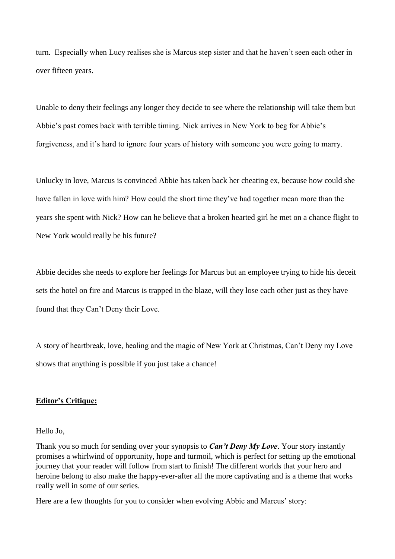turn. Especially when Lucy realises she is Marcus step sister and that he haven't seen each other in over fifteen years.

Unable to deny their feelings any longer they decide to see where the relationship will take them but Abbie's past comes back with terrible timing. Nick arrives in New York to beg for Abbie's forgiveness, and it's hard to ignore four years of history with someone you were going to marry.

Unlucky in love, Marcus is convinced Abbie has taken back her cheating ex, because how could she have fallen in love with him? How could the short time they've had together mean more than the years she spent with Nick? How can he believe that a broken hearted girl he met on a chance flight to New York would really be his future?

Abbie decides she needs to explore her feelings for Marcus but an employee trying to hide his deceit sets the hotel on fire and Marcus is trapped in the blaze, will they lose each other just as they have found that they Can't Deny their Love.

A story of heartbreak, love, healing and the magic of New York at Christmas, Can't Deny my Love shows that anything is possible if you just take a chance!

## **Editor's Critique:**

Hello Jo,

Thank you so much for sending over your synopsis to *Can't Deny My Love*. Your story instantly promises a whirlwind of opportunity, hope and turmoil, which is perfect for setting up the emotional journey that your reader will follow from start to finish! The different worlds that your hero and heroine belong to also make the happy-ever-after all the more captivating and is a theme that works really well in some of our series.

Here are a few thoughts for you to consider when evolving Abbie and Marcus' story: